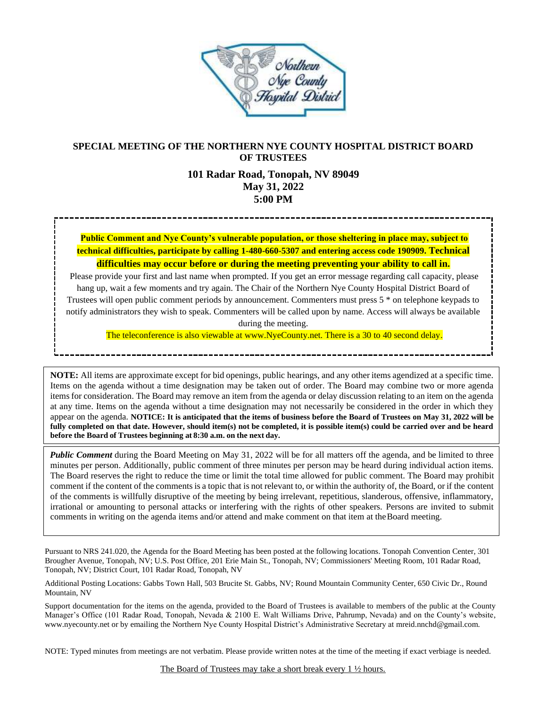

# **SPECIAL MEETING OF THE NORTHERN NYE COUNTY HOSPITAL DISTRICT BOARD OF TRUSTEES**

# **101 Radar Road, Tonopah, NV 89049 May 31, 2022 5:00 PM**

**Public Comment and Nye County's vulnerable population, or those sheltering in place may, subject to technical difficulties, participate by calling 1-480-660-5307 and entering access code 190909. Technical difficulties may occur before or during the meeting preventing your ability to call in.**

Please provide your first and last name when prompted. If you get an error message regarding call capacity, please hang up, wait a few moments and try again. The Chair of the Northern Nye County Hospital District Board of Trustees will open public comment periods by announcement. Commenters must press 5 \* on telephone keypads to notify administrators they wish to speak. Commenters will be called upon by name. Access will always be available during the meeting.

The teleconference is also viewable at www.NyeCounty.net. There is a 30 to 40 second delay.

**NOTE:** All items are approximate except for bid openings, public hearings, and any other items agendized at a specific time. Items on the agenda without a time designation may be taken out of order. The Board may combine two or more agenda itemsfor consideration. The Board may remove an item from the agenda or delay discussion relating to an item on the agenda at any time. Items on the agenda without a time designation may not necessarily be considered in the order in which they appear on the agenda. **NOTICE: It is anticipated that the items of business before the Board of Trustees on May 31, 2022 will be fully completed on that date. However, should item(s) not be completed, it is possible item(s) could be carried over and be heard before the Board of Trustees beginning at 8:30 a.m. on the next day.**

*Public Comment* during the Board Meeting on May 31, 2022 will be for all matters off the agenda, and be limited to three minutes per person. Additionally, public comment of three minutes per person may be heard during individual action items. The Board reserves the right to reduce the time or limit the total time allowed for public comment. The Board may prohibit comment if the content of the comments is a topic that is not relevant to, or within the authority of, the Board, or if the content of the comments is willfully disruptive of the meeting by being irrelevant, repetitious, slanderous, offensive, inflammatory, irrational or amounting to personal attacks or interfering with the rights of other speakers. Persons are invited to submit comments in writing on the agenda items and/or attend and make comment on that item at theBoard meeting.

Pursuant to NRS 241.020, the Agenda for the Board Meeting has been posted at the following locations. Tonopah Convention Center, 301 Brougher Avenue, Tonopah, NV; U.S. Post Office, 201 Erie Main St., Tonopah, NV; Commissioners' Meeting Room, 101 Radar Road, Tonopah, NV; District Court, 101 Radar Road, Tonopah, NV

Additional Posting Locations: Gabbs Town Hall, 503 Brucite St. Gabbs, NV; Round Mountain Community Center, 650 Civic Dr., Round Mountain, NV

Support documentation for the items on the agenda, provided to the Board of Trustees is available to members of the public at the County Manager's Office (101 Radar Road, Tonopah, Nevada & 2100 E. Walt Williams Drive, Pahrump, Nevada) and on the County's website, [www.nyecounty.net](http://www.nyecounty.net/) or by emailing the Northern Nye County Hospital District's Administrative Secretary at mrei[d.nnchd@gmail.com.](mailto:nnchd@gmail.com.)

NOTE: Typed minutes from meetings are not verbatim. Please provide written notes at the time of the meeting if exact verbiage is needed.

The Board of Trustees may take a short break every 1 ½ hours.